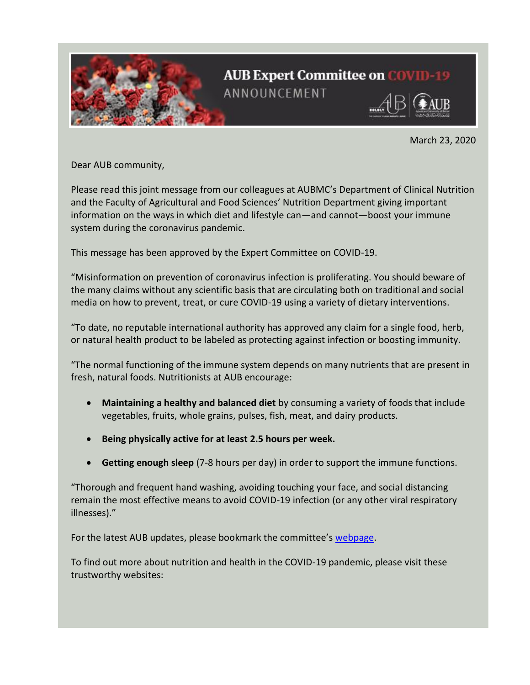

March 23, 2020

Dear AUB community,

Please read this joint message from our colleagues at AUBMC's Department of Clinical Nutrition and the Faculty of Agricultural and Food Sciences' Nutrition Department giving important information on the ways in which diet and lifestyle can—and cannot—boost your immune system during the coronavirus pandemic.

This message has been approved by the Expert Committee on COVID-19.

"Misinformation on prevention of coronavirus infection is proliferating. You should beware of the many claims without any scientific basis that are circulating both on traditional and social media on how to prevent, treat, or cure COVID-19 using a variety of dietary interventions.

"To date, no reputable international authority has approved any claim for a single food, herb, or natural health product to be labeled as protecting against infection or boosting immunity.

"The normal functioning of the immune system depends on many nutrients that are present in fresh, natural foods. Nutritionists at AUB encourage:

- **Maintaining a healthy and balanced diet** by consuming a variety of foods that include vegetables, fruits, whole grains, pulses, fish, meat, and dairy products.
- **Being physically active for at least 2.5 hours per week.**
- **Getting enough sleep** (7-8 hours per day) in order to support the immune functions.

"Thorough and frequent hand washing, avoiding touching your face, and social distancing remain the most effective means to avoid COVID-19 infection (or any other viral respiratory illnesses)."

For the latest AUB updates, please bookmark the committee's [webpage.](https://aub.edu.lb/emergency/Pages/Coronavirus.aspx)

To find out more about nutrition and health in the COVID-19 pandemic, please visit these trustworthy websites: